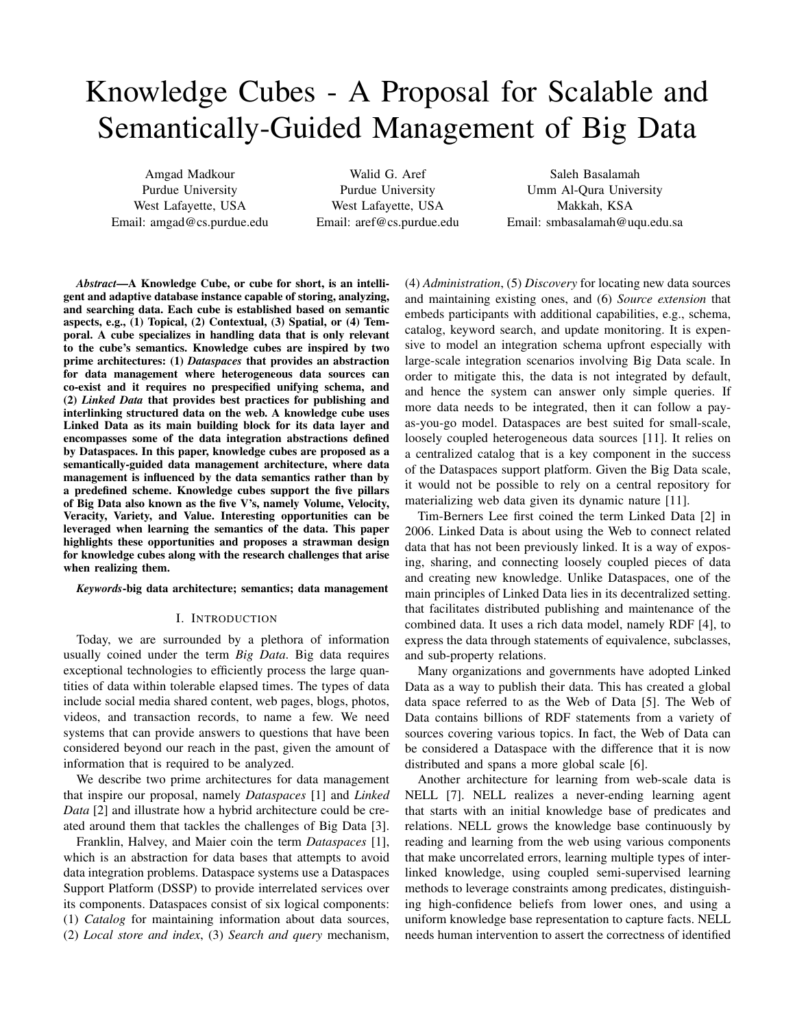# Knowledge Cubes - A Proposal for Scalable and Semantically-Guided Management of Big Data

Amgad Madkour Purdue University West Lafayette, USA Email: amgad@cs.purdue.edu

Walid G. Aref Purdue University West Lafayette, USA Email: aref@cs.purdue.edu

Saleh Basalamah Umm Al-Qura University Makkah, KSA Email: smbasalamah@uqu.edu.sa

*Abstract***—A Knowledge Cube, or cube for short, is an intelligent and adaptive database instance capable of storing, analyzing, and searching data. Each cube is established based on semantic aspects, e.g., (1) Topical, (2) Contextual, (3) Spatial, or (4) Temporal. A cube specializes in handling data that is only relevant to the cube's semantics. Knowledge cubes are inspired by two prime architectures: (1)** *Dataspaces* **that provides an abstraction for data management where heterogeneous data sources can co-exist and it requires no prespecified unifying schema, and (2)** *Linked Data* **that provides best practices for publishing and interlinking structured data on the web. A knowledge cube uses Linked Data as its main building block for its data layer and encompasses some of the data integration abstractions defined by Dataspaces. In this paper, knowledge cubes are proposed as a semantically-guided data management architecture, where data management is influenced by the data semantics rather than by a predefined scheme. Knowledge cubes support the five pillars of Big Data also known as the five V's, namely Volume, Velocity, Veracity, Variety, and Value. Interesting opportunities can be leveraged when learning the semantics of the data. This paper highlights these opportunities and proposes a strawman design for knowledge cubes along with the research challenges that arise when realizing them.**

#### *Keywords***-big data architecture; semantics; data management**

#### I. INTRODUCTION

Today, we are surrounded by a plethora of information usually coined under the term *Big Data*. Big data requires exceptional technologies to efficiently process the large quantities of data within tolerable elapsed times. The types of data include social media shared content, web pages, blogs, photos, videos, and transaction records, to name a few. We need systems that can provide answers to questions that have been considered beyond our reach in the past, given the amount of information that is required to be analyzed.

We describe two prime architectures for data management that inspire our proposal, namely *Dataspaces* [1] and *Linked Data* [2] and illustrate how a hybrid architecture could be created around them that tackles the challenges of Big Data [3].

Franklin, Halvey, and Maier coin the term *Dataspaces* [1], which is an abstraction for data bases that attempts to avoid data integration problems. Dataspace systems use a Dataspaces Support Platform (DSSP) to provide interrelated services over its components. Dataspaces consist of six logical components: (1) *Catalog* for maintaining information about data sources, (2) *Local store and index*, (3) *Search and query* mechanism,

(4) *Administration*, (5) *Discovery* for locating new data sources and maintaining existing ones, and (6) *Source extension* that embeds participants with additional capabilities, e.g., schema, catalog, keyword search, and update monitoring. It is expensive to model an integration schema upfront especially with large-scale integration scenarios involving Big Data scale. In order to mitigate this, the data is not integrated by default, and hence the system can answer only simple queries. If more data needs to be integrated, then it can follow a payas-you-go model. Dataspaces are best suited for small-scale, loosely coupled heterogeneous data sources [11]. It relies on a centralized catalog that is a key component in the success of the Dataspaces support platform. Given the Big Data scale, it would not be possible to rely on a central repository for materializing web data given its dynamic nature [11].

Tim-Berners Lee first coined the term Linked Data [2] in 2006. Linked Data is about using the Web to connect related data that has not been previously linked. It is a way of exposing, sharing, and connecting loosely coupled pieces of data and creating new knowledge. Unlike Dataspaces, one of the main principles of Linked Data lies in its decentralized setting. that facilitates distributed publishing and maintenance of the combined data. It uses a rich data model, namely RDF [4], to express the data through statements of equivalence, subclasses, and sub-property relations.

Many organizations and governments have adopted Linked Data as a way to publish their data. This has created a global data space referred to as the Web of Data [5]. The Web of Data contains billions of RDF statements from a variety of sources covering various topics. In fact, the Web of Data can be considered a Dataspace with the difference that it is now distributed and spans a more global scale [6].

Another architecture for learning from web-scale data is NELL [7]. NELL realizes a never-ending learning agent that starts with an initial knowledge base of predicates and relations. NELL grows the knowledge base continuously by reading and learning from the web using various components that make uncorrelated errors, learning multiple types of interlinked knowledge, using coupled semi-supervised learning methods to leverage constraints among predicates, distinguishing high-confidence beliefs from lower ones, and using a uniform knowledge base representation to capture facts. NELL needs human intervention to assert the correctness of identified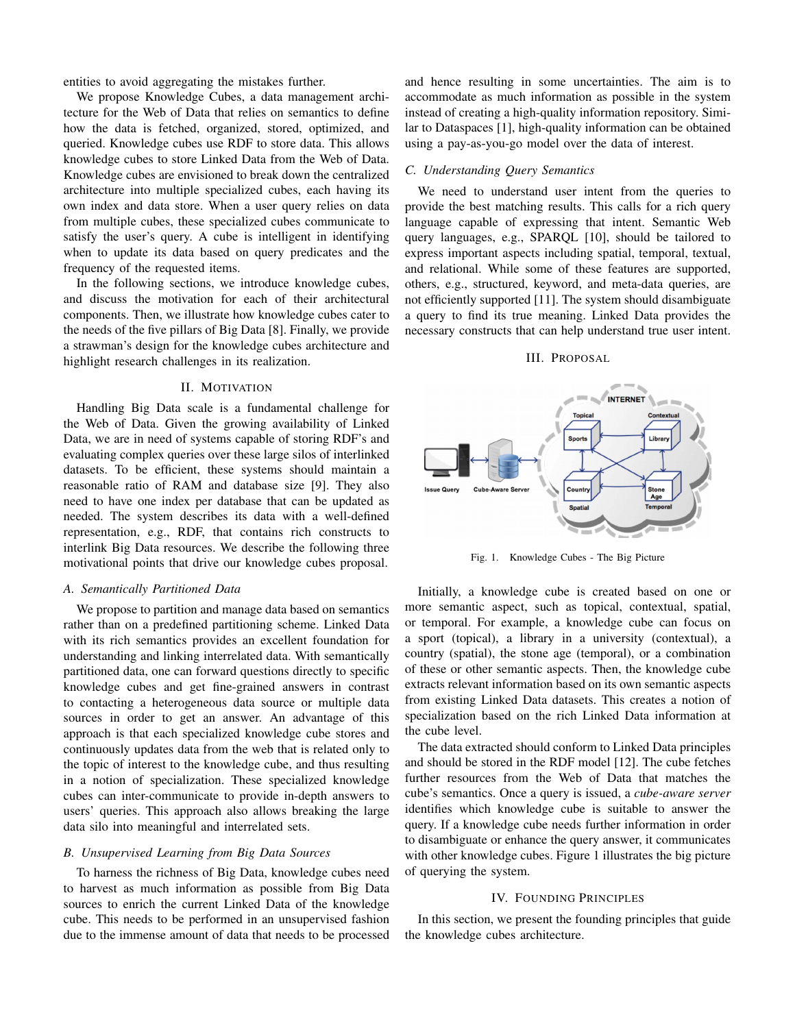entities to avoid aggregating the mistakes further.

We propose Knowledge Cubes, a data management architecture for the Web of Data that relies on semantics to define how the data is fetched, organized, stored, optimized, and queried. Knowledge cubes use RDF to store data. This allows knowledge cubes to store Linked Data from the Web of Data. Knowledge cubes are envisioned to break down the centralized architecture into multiple specialized cubes, each having its own index and data store. When a user query relies on data from multiple cubes, these specialized cubes communicate to satisfy the user's query. A cube is intelligent in identifying when to update its data based on query predicates and the frequency of the requested items.

In the following sections, we introduce knowledge cubes, and discuss the motivation for each of their architectural components. Then, we illustrate how knowledge cubes cater to the needs of the five pillars of Big Data [8]. Finally, we provide a strawman's design for the knowledge cubes architecture and highlight research challenges in its realization.

## II. MOTIVATION

Handling Big Data scale is a fundamental challenge for the Web of Data. Given the growing availability of Linked Data, we are in need of systems capable of storing RDF's and evaluating complex queries over these large silos of interlinked datasets. To be efficient, these systems should maintain a reasonable ratio of RAM and database size [9]. They also need to have one index per database that can be updated as needed. The system describes its data with a well-defined representation, e.g., RDF, that contains rich constructs to interlink Big Data resources. We describe the following three motivational points that drive our knowledge cubes proposal.

#### *A. Semantically Partitioned Data*

We propose to partition and manage data based on semantics rather than on a predefined partitioning scheme. Linked Data with its rich semantics provides an excellent foundation for understanding and linking interrelated data. With semantically partitioned data, one can forward questions directly to specific knowledge cubes and get fine-grained answers in contrast to contacting a heterogeneous data source or multiple data sources in order to get an answer. An advantage of this approach is that each specialized knowledge cube stores and continuously updates data from the web that is related only to the topic of interest to the knowledge cube, and thus resulting in a notion of specialization. These specialized knowledge cubes can inter-communicate to provide in-depth answers to users' queries. This approach also allows breaking the large data silo into meaningful and interrelated sets.

#### *B. Unsupervised Learning from Big Data Sources*

To harness the richness of Big Data, knowledge cubes need to harvest as much information as possible from Big Data sources to enrich the current Linked Data of the knowledge cube. This needs to be performed in an unsupervised fashion due to the immense amount of data that needs to be processed

and hence resulting in some uncertainties. The aim is to accommodate as much information as possible in the system instead of creating a high-quality information repository. Similar to Dataspaces [1], high-quality information can be obtained using a pay-as-you-go model over the data of interest.

#### *C. Understanding Query Semantics*

We need to understand user intent from the queries to provide the best matching results. This calls for a rich query language capable of expressing that intent. Semantic Web query languages, e.g., SPARQL [10], should be tailored to express important aspects including spatial, temporal, textual, and relational. While some of these features are supported, others, e.g., structured, keyword, and meta-data queries, are not efficiently supported [11]. The system should disambiguate a query to find its true meaning. Linked Data provides the necessary constructs that can help understand true user intent.

## III. PROPOSAL



Fig. 1. Knowledge Cubes - The Big Picture

Initially, a knowledge cube is created based on one or more semantic aspect, such as topical, contextual, spatial, or temporal. For example, a knowledge cube can focus on a sport (topical), a library in a university (contextual), a country (spatial), the stone age (temporal), or a combination of these or other semantic aspects. Then, the knowledge cube extracts relevant information based on its own semantic aspects from existing Linked Data datasets. This creates a notion of specialization based on the rich Linked Data information at the cube level.

The data extracted should conform to Linked Data principles and should be stored in the RDF model [12]. The cube fetches further resources from the Web of Data that matches the cube's semantics. Once a query is issued, a *cube-aware server* identifies which knowledge cube is suitable to answer the query. If a knowledge cube needs further information in order to disambiguate or enhance the query answer, it communicates with other knowledge cubes. Figure 1 illustrates the big picture of querying the system.

## IV. FOUNDING PRINCIPLES

In this section, we present the founding principles that guide the knowledge cubes architecture.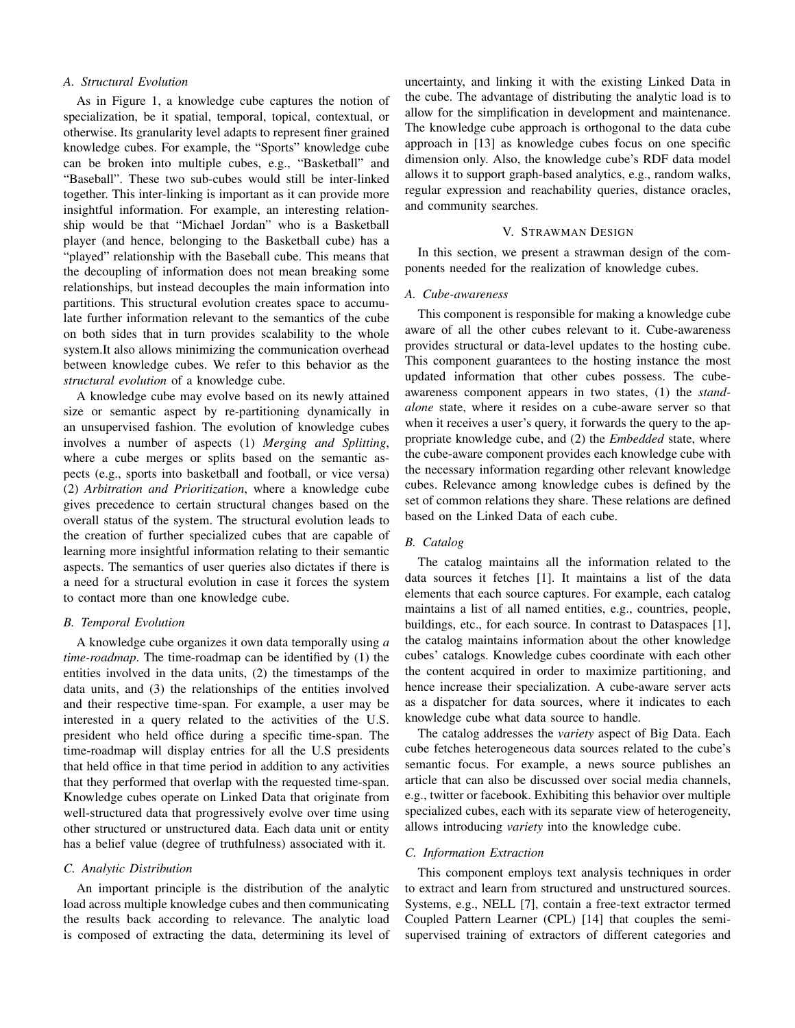## *A. Structural Evolution*

As in Figure 1, a knowledge cube captures the notion of specialization, be it spatial, temporal, topical, contextual, or otherwise. Its granularity level adapts to represent finer grained knowledge cubes. For example, the "Sports" knowledge cube can be broken into multiple cubes, e.g., "Basketball" and "Baseball". These two sub-cubes would still be inter-linked together. This inter-linking is important as it can provide more insightful information. For example, an interesting relationship would be that "Michael Jordan" who is a Basketball player (and hence, belonging to the Basketball cube) has a "played" relationship with the Baseball cube. This means that the decoupling of information does not mean breaking some relationships, but instead decouples the main information into partitions. This structural evolution creates space to accumulate further information relevant to the semantics of the cube on both sides that in turn provides scalability to the whole system.It also allows minimizing the communication overhead between knowledge cubes. We refer to this behavior as the *structural evolution* of a knowledge cube.

A knowledge cube may evolve based on its newly attained size or semantic aspect by re-partitioning dynamically in an unsupervised fashion. The evolution of knowledge cubes involves a number of aspects (1) *Merging and Splitting*, where a cube merges or splits based on the semantic aspects (e.g., sports into basketball and football, or vice versa) (2) *Arbitration and Prioritization*, where a knowledge cube gives precedence to certain structural changes based on the overall status of the system. The structural evolution leads to the creation of further specialized cubes that are capable of learning more insightful information relating to their semantic aspects. The semantics of user queries also dictates if there is a need for a structural evolution in case it forces the system to contact more than one knowledge cube.

#### *B. Temporal Evolution*

A knowledge cube organizes it own data temporally using *a time-roadmap*. The time-roadmap can be identified by (1) the entities involved in the data units, (2) the timestamps of the data units, and (3) the relationships of the entities involved and their respective time-span. For example, a user may be interested in a query related to the activities of the U.S. president who held office during a specific time-span. The time-roadmap will display entries for all the U.S presidents that held office in that time period in addition to any activities that they performed that overlap with the requested time-span. Knowledge cubes operate on Linked Data that originate from well-structured data that progressively evolve over time using other structured or unstructured data. Each data unit or entity has a belief value (degree of truthfulness) associated with it.

## *C. Analytic Distribution*

An important principle is the distribution of the analytic load across multiple knowledge cubes and then communicating the results back according to relevance. The analytic load is composed of extracting the data, determining its level of

uncertainty, and linking it with the existing Linked Data in the cube. The advantage of distributing the analytic load is to allow for the simplification in development and maintenance. The knowledge cube approach is orthogonal to the data cube approach in [13] as knowledge cubes focus on one specific dimension only. Also, the knowledge cube's RDF data model allows it to support graph-based analytics, e.g., random walks, regular expression and reachability queries, distance oracles, and community searches.

## V. STRAWMAN DESIGN

In this section, we present a strawman design of the components needed for the realization of knowledge cubes.

#### *A. Cube-awareness*

This component is responsible for making a knowledge cube aware of all the other cubes relevant to it. Cube-awareness provides structural or data-level updates to the hosting cube. This component guarantees to the hosting instance the most updated information that other cubes possess. The cubeawareness component appears in two states, (1) the *standalone* state, where it resides on a cube-aware server so that when it receives a user's query, it forwards the query to the appropriate knowledge cube, and (2) the *Embedded* state, where the cube-aware component provides each knowledge cube with the necessary information regarding other relevant knowledge cubes. Relevance among knowledge cubes is defined by the set of common relations they share. These relations are defined based on the Linked Data of each cube.

## *B. Catalog*

The catalog maintains all the information related to the data sources it fetches [1]. It maintains a list of the data elements that each source captures. For example, each catalog maintains a list of all named entities, e.g., countries, people, buildings, etc., for each source. In contrast to Dataspaces [1], the catalog maintains information about the other knowledge cubes' catalogs. Knowledge cubes coordinate with each other the content acquired in order to maximize partitioning, and hence increase their specialization. A cube-aware server acts as a dispatcher for data sources, where it indicates to each knowledge cube what data source to handle.

The catalog addresses the *variety* aspect of Big Data. Each cube fetches heterogeneous data sources related to the cube's semantic focus. For example, a news source publishes an article that can also be discussed over social media channels, e.g., twitter or facebook. Exhibiting this behavior over multiple specialized cubes, each with its separate view of heterogeneity, allows introducing *variety* into the knowledge cube.

#### *C. Information Extraction*

This component employs text analysis techniques in order to extract and learn from structured and unstructured sources. Systems, e.g., NELL [7], contain a free-text extractor termed Coupled Pattern Learner (CPL) [14] that couples the semisupervised training of extractors of different categories and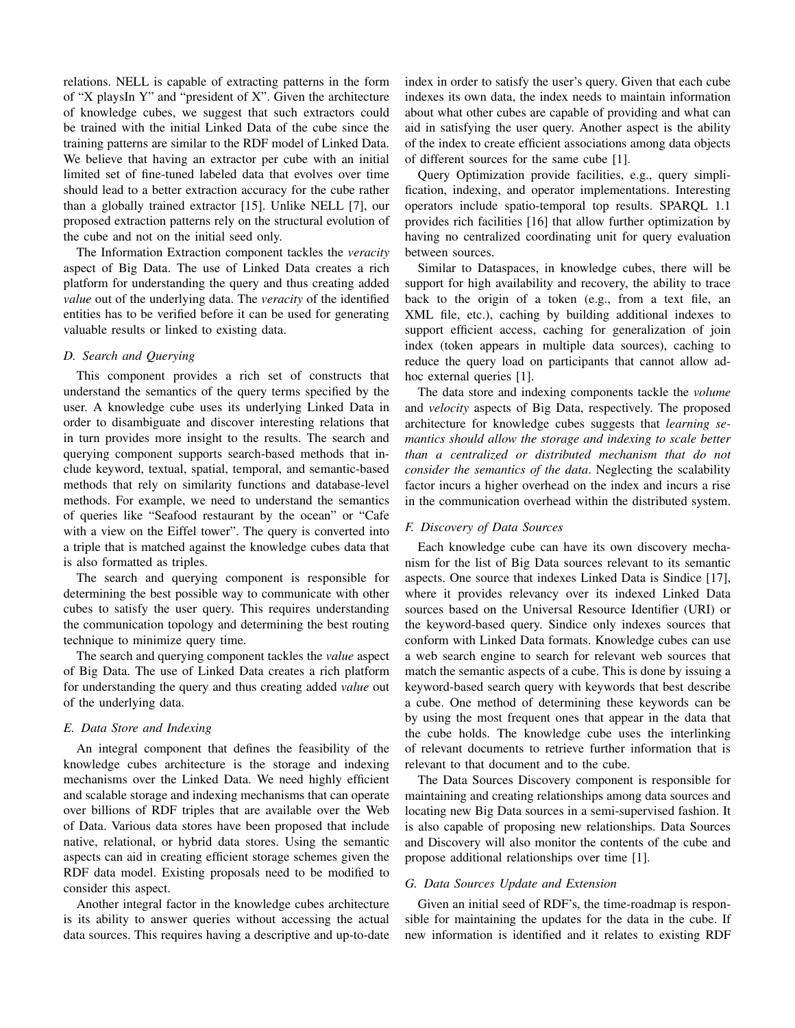relations. NELL is capable of extracting patterns in the form of "X playsIn Y" and "president of X". Given the architecture of knowledge cubes, we suggest that such extractors could be trained with the initial Linked Data of the cube since the training patterns are similar to the RDF model of Linked Data. We believe that having an extractor per cube with an initial limited set of fine-tuned labeled data that evolves over time should lead to a better extraction accuracy for the cube rather than a globally trained extractor [15]. Unlike NELL [7], our proposed extraction patterns rely on the structural evolution of the cube and not on the initial seed only.

The Information Extraction component tackles the *veracity* aspect of Big Data. The use of Linked Data creates a rich platform for understanding the query and thus creating added *value* out of the underlying data. The *veracity* of the identified entities has to be verified before it can be used for generating valuable results or linked to existing data.

# *D. Search and Querying*

This component provides a rich set of constructs that understand the semantics of the query terms specified by the user. A knowledge cube uses its underlying Linked Data in order to disambiguate and discover interesting relations that in turn provides more insight to the results. The search and querying component supports search-based methods that include keyword, textual, spatial, temporal, and semantic-based methods that rely on similarity functions and database-level methods. For example, we need to understand the semantics of queries like "Seafood restaurant by the ocean" or "Cafe with a view on the Eiffel tower". The query is converted into a triple that is matched against the knowledge cubes data that is also formatted as triples.

The search and querying component is responsible for determining the best possible way to communicate with other cubes to satisfy the user query. This requires understanding the communication topology and determining the best routing technique to minimize query time.

The search and querying component tackles the *value* aspect of Big Data. The use of Linked Data creates a rich platform for understanding the query and thus creating added *value* out of the underlying data.

## *E. Data Store and Indexing*

An integral component that defines the feasibility of the knowledge cubes architecture is the storage and indexing mechanisms over the Linked Data. We need highly efficient and scalable storage and indexing mechanisms that can operate over billions of RDF triples that are available over the Web of Data. Various data stores have been proposed that include native, relational, or hybrid data stores. Using the semantic aspects can aid in creating efficient storage schemes given the RDF data model. Existing proposals need to be modified to consider this aspect.

Another integral factor in the knowledge cubes architecture is its ability to answer queries without accessing the actual data sources. This requires having a descriptive and up-to-date index in order to satisfy the user's query. Given that each cube indexes its own data, the index needs to maintain information about what other cubes are capable of providing and what can aid in satisfying the user query. Another aspect is the ability of the index to create efficient associations among data objects of different sources for the same cube [1].

Query Optimization provide facilities, e.g., query simplification, indexing, and operator implementations. Interesting operators include spatio-temporal top results. SPARQL 1.1 provides rich facilities [16] that allow further optimization by having no centralized coordinating unit for query evaluation between sources.

Similar to Dataspaces, in knowledge cubes, there will be support for high availability and recovery, the ability to trace back to the origin of a token (e.g., from a text file, an XML file, etc.), caching by building additional indexes to support efficient access, caching for generalization of join index (token appears in multiple data sources), caching to reduce the query load on participants that cannot allow adhoc external queries [1].

The data store and indexing components tackle the *volume* and *velocity* aspects of Big Data, respectively. The proposed architecture for knowledge cubes suggests that *learning semantics should allow the storage and indexing to scale better than a centralized or distributed mechanism that do not consider the semantics of the data*. Neglecting the scalability factor incurs a higher overhead on the index and incurs a rise in the communication overhead within the distributed system.

## *F. Discovery of Data Sources*

Each knowledge cube can have its own discovery mechanism for the list of Big Data sources relevant to its semantic aspects. One source that indexes Linked Data is Sindice [17], where it provides relevancy over its indexed Linked Data sources based on the Universal Resource Identifier (URI) or the keyword-based query. Sindice only indexes sources that conform with Linked Data formats. Knowledge cubes can use a web search engine to search for relevant web sources that match the semantic aspects of a cube. This is done by issuing a keyword-based search query with keywords that best describe a cube. One method of determining these keywords can be by using the most frequent ones that appear in the data that the cube holds. The knowledge cube uses the interlinking of relevant documents to retrieve further information that is relevant to that document and to the cube.

The Data Sources Discovery component is responsible for maintaining and creating relationships among data sources and locating new Big Data sources in a semi-supervised fashion. It is also capable of proposing new relationships. Data Sources and Discovery will also monitor the contents of the cube and propose additional relationships over time [1].

## *G. Data Sources Update and Extension*

Given an initial seed of RDF's, the time-roadmap is responsible for maintaining the updates for the data in the cube. If new information is identified and it relates to existing RDF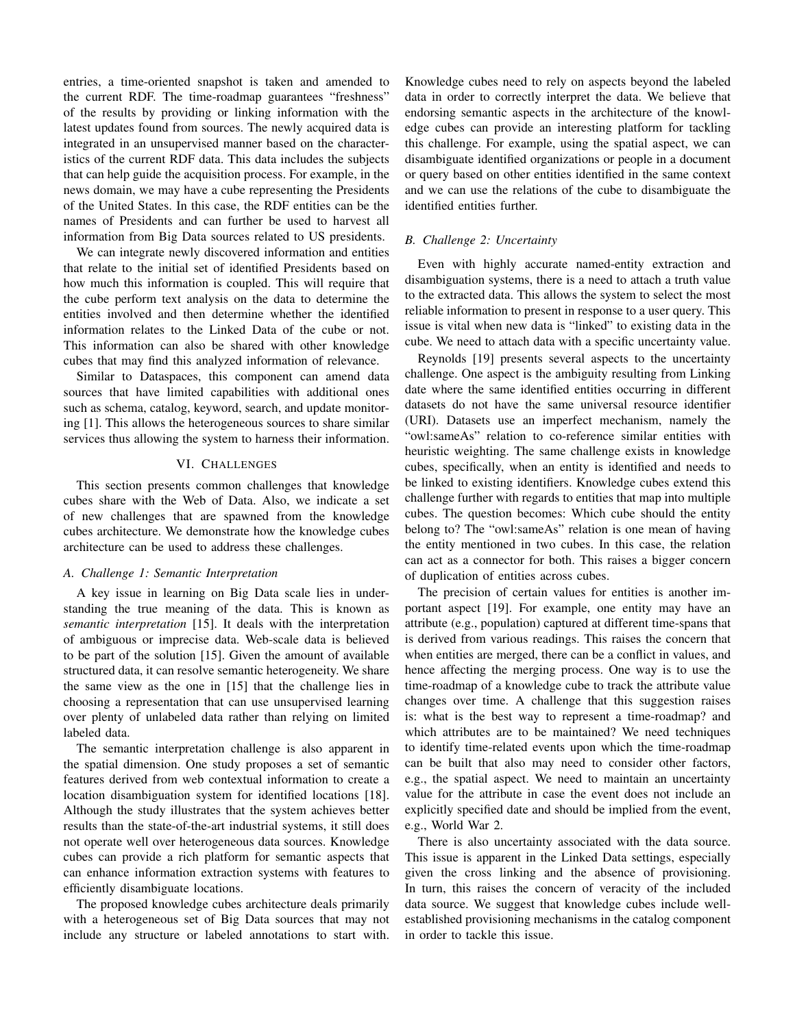entries, a time-oriented snapshot is taken and amended to the current RDF. The time-roadmap guarantees "freshness" of the results by providing or linking information with the latest updates found from sources. The newly acquired data is integrated in an unsupervised manner based on the characteristics of the current RDF data. This data includes the subjects that can help guide the acquisition process. For example, in the news domain, we may have a cube representing the Presidents of the United States. In this case, the RDF entities can be the names of Presidents and can further be used to harvest all information from Big Data sources related to US presidents.

We can integrate newly discovered information and entities that relate to the initial set of identified Presidents based on how much this information is coupled. This will require that the cube perform text analysis on the data to determine the entities involved and then determine whether the identified information relates to the Linked Data of the cube or not. This information can also be shared with other knowledge cubes that may find this analyzed information of relevance.

Similar to Dataspaces, this component can amend data sources that have limited capabilities with additional ones such as schema, catalog, keyword, search, and update monitoring [1]. This allows the heterogeneous sources to share similar services thus allowing the system to harness their information.

## VI. CHALLENGES

This section presents common challenges that knowledge cubes share with the Web of Data. Also, we indicate a set of new challenges that are spawned from the knowledge cubes architecture. We demonstrate how the knowledge cubes architecture can be used to address these challenges.

# *A. Challenge 1: Semantic Interpretation*

A key issue in learning on Big Data scale lies in understanding the true meaning of the data. This is known as *semantic interpretation* [15]. It deals with the interpretation of ambiguous or imprecise data. Web-scale data is believed to be part of the solution [15]. Given the amount of available structured data, it can resolve semantic heterogeneity. We share the same view as the one in [15] that the challenge lies in choosing a representation that can use unsupervised learning over plenty of unlabeled data rather than relying on limited labeled data.

The semantic interpretation challenge is also apparent in the spatial dimension. One study proposes a set of semantic features derived from web contextual information to create a location disambiguation system for identified locations [18]. Although the study illustrates that the system achieves better results than the state-of-the-art industrial systems, it still does not operate well over heterogeneous data sources. Knowledge cubes can provide a rich platform for semantic aspects that can enhance information extraction systems with features to efficiently disambiguate locations.

The proposed knowledge cubes architecture deals primarily with a heterogeneous set of Big Data sources that may not include any structure or labeled annotations to start with. Knowledge cubes need to rely on aspects beyond the labeled data in order to correctly interpret the data. We believe that endorsing semantic aspects in the architecture of the knowledge cubes can provide an interesting platform for tackling this challenge. For example, using the spatial aspect, we can disambiguate identified organizations or people in a document or query based on other entities identified in the same context and we can use the relations of the cube to disambiguate the identified entities further.

## *B. Challenge 2: Uncertainty*

Even with highly accurate named-entity extraction and disambiguation systems, there is a need to attach a truth value to the extracted data. This allows the system to select the most reliable information to present in response to a user query. This issue is vital when new data is "linked" to existing data in the cube. We need to attach data with a specific uncertainty value.

Reynolds [19] presents several aspects to the uncertainty challenge. One aspect is the ambiguity resulting from Linking date where the same identified entities occurring in different datasets do not have the same universal resource identifier (URI). Datasets use an imperfect mechanism, namely the "owl:sameAs" relation to co-reference similar entities with heuristic weighting. The same challenge exists in knowledge cubes, specifically, when an entity is identified and needs to be linked to existing identifiers. Knowledge cubes extend this challenge further with regards to entities that map into multiple cubes. The question becomes: Which cube should the entity belong to? The "owl:sameAs" relation is one mean of having the entity mentioned in two cubes. In this case, the relation can act as a connector for both. This raises a bigger concern of duplication of entities across cubes.

The precision of certain values for entities is another important aspect [19]. For example, one entity may have an attribute (e.g., population) captured at different time-spans that is derived from various readings. This raises the concern that when entities are merged, there can be a conflict in values, and hence affecting the merging process. One way is to use the time-roadmap of a knowledge cube to track the attribute value changes over time. A challenge that this suggestion raises is: what is the best way to represent a time-roadmap? and which attributes are to be maintained? We need techniques to identify time-related events upon which the time-roadmap can be built that also may need to consider other factors, e.g., the spatial aspect. We need to maintain an uncertainty value for the attribute in case the event does not include an explicitly specified date and should be implied from the event, e.g., World War 2.

There is also uncertainty associated with the data source. This issue is apparent in the Linked Data settings, especially given the cross linking and the absence of provisioning. In turn, this raises the concern of veracity of the included data source. We suggest that knowledge cubes include wellestablished provisioning mechanisms in the catalog component in order to tackle this issue.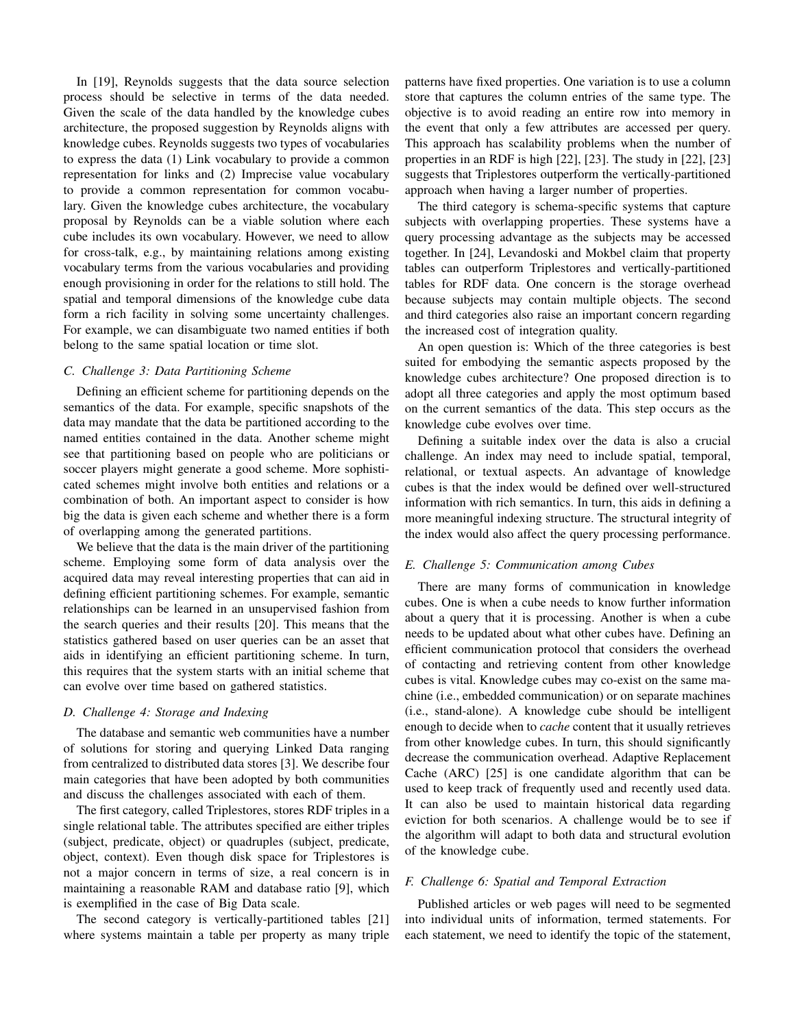In [19], Reynolds suggests that the data source selection process should be selective in terms of the data needed. Given the scale of the data handled by the knowledge cubes architecture, the proposed suggestion by Reynolds aligns with knowledge cubes. Reynolds suggests two types of vocabularies to express the data (1) Link vocabulary to provide a common representation for links and (2) Imprecise value vocabulary to provide a common representation for common vocabulary. Given the knowledge cubes architecture, the vocabulary proposal by Reynolds can be a viable solution where each cube includes its own vocabulary. However, we need to allow for cross-talk, e.g., by maintaining relations among existing vocabulary terms from the various vocabularies and providing enough provisioning in order for the relations to still hold. The spatial and temporal dimensions of the knowledge cube data form a rich facility in solving some uncertainty challenges. For example, we can disambiguate two named entities if both belong to the same spatial location or time slot.

## *C. Challenge 3: Data Partitioning Scheme*

Defining an efficient scheme for partitioning depends on the semantics of the data. For example, specific snapshots of the data may mandate that the data be partitioned according to the named entities contained in the data. Another scheme might see that partitioning based on people who are politicians or soccer players might generate a good scheme. More sophisticated schemes might involve both entities and relations or a combination of both. An important aspect to consider is how big the data is given each scheme and whether there is a form of overlapping among the generated partitions.

We believe that the data is the main driver of the partitioning scheme. Employing some form of data analysis over the acquired data may reveal interesting properties that can aid in defining efficient partitioning schemes. For example, semantic relationships can be learned in an unsupervised fashion from the search queries and their results [20]. This means that the statistics gathered based on user queries can be an asset that aids in identifying an efficient partitioning scheme. In turn, this requires that the system starts with an initial scheme that can evolve over time based on gathered statistics.

## *D. Challenge 4: Storage and Indexing*

The database and semantic web communities have a number of solutions for storing and querying Linked Data ranging from centralized to distributed data stores [3]. We describe four main categories that have been adopted by both communities and discuss the challenges associated with each of them.

The first category, called Triplestores, stores RDF triples in a single relational table. The attributes specified are either triples (subject, predicate, object) or quadruples (subject, predicate, object, context). Even though disk space for Triplestores is not a major concern in terms of size, a real concern is in maintaining a reasonable RAM and database ratio [9], which is exemplified in the case of Big Data scale.

The second category is vertically-partitioned tables [21] where systems maintain a table per property as many triple patterns have fixed properties. One variation is to use a column store that captures the column entries of the same type. The objective is to avoid reading an entire row into memory in the event that only a few attributes are accessed per query. This approach has scalability problems when the number of properties in an RDF is high [22], [23]. The study in [22], [23] suggests that Triplestores outperform the vertically-partitioned approach when having a larger number of properties.

The third category is schema-specific systems that capture subjects with overlapping properties. These systems have a query processing advantage as the subjects may be accessed together. In [24], Levandoski and Mokbel claim that property tables can outperform Triplestores and vertically-partitioned tables for RDF data. One concern is the storage overhead because subjects may contain multiple objects. The second and third categories also raise an important concern regarding the increased cost of integration quality.

An open question is: Which of the three categories is best suited for embodying the semantic aspects proposed by the knowledge cubes architecture? One proposed direction is to adopt all three categories and apply the most optimum based on the current semantics of the data. This step occurs as the knowledge cube evolves over time.

Defining a suitable index over the data is also a crucial challenge. An index may need to include spatial, temporal, relational, or textual aspects. An advantage of knowledge cubes is that the index would be defined over well-structured information with rich semantics. In turn, this aids in defining a more meaningful indexing structure. The structural integrity of the index would also affect the query processing performance.

#### *E. Challenge 5: Communication among Cubes*

There are many forms of communication in knowledge cubes. One is when a cube needs to know further information about a query that it is processing. Another is when a cube needs to be updated about what other cubes have. Defining an efficient communication protocol that considers the overhead of contacting and retrieving content from other knowledge cubes is vital. Knowledge cubes may co-exist on the same machine (i.e., embedded communication) or on separate machines (i.e., stand-alone). A knowledge cube should be intelligent enough to decide when to *cache* content that it usually retrieves from other knowledge cubes. In turn, this should significantly decrease the communication overhead. Adaptive Replacement Cache (ARC) [25] is one candidate algorithm that can be used to keep track of frequently used and recently used data. It can also be used to maintain historical data regarding eviction for both scenarios. A challenge would be to see if the algorithm will adapt to both data and structural evolution of the knowledge cube.

#### *F. Challenge 6: Spatial and Temporal Extraction*

Published articles or web pages will need to be segmented into individual units of information, termed statements. For each statement, we need to identify the topic of the statement,